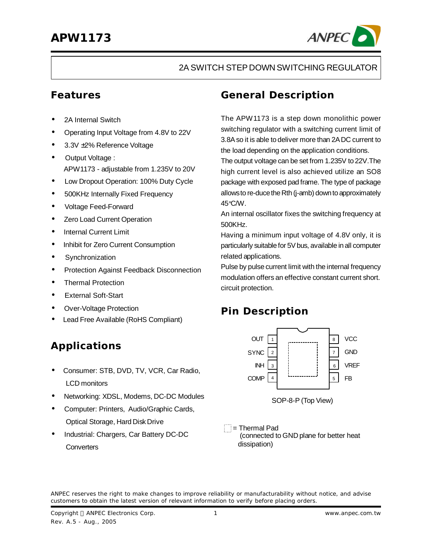

#### 2A SWITCH STEP DOWN SWITCHING REGULATOR

### **Features**

- 2A Internal Switch
- Operating Input Voltage from 4.8V to 22V
- 3.3V ±2% Reference Voltage
- Output Voltage : APW1173 - adjustable from 1.235V to 20V
- Low Dropout Operation: 100% Duty Cycle
- 500KHz Internally Fixed Frequency
- Voltage Feed-Forward
- Zero Load Current Operation
- Internal Current Limit
- Inhibit for Zero Current Consumption
- **·** Synchronization
- **·** Protection Against Feedback Disconnection
- **·** Thermal Protection
- **·** External Soft-Start
- **·** Over-Voltage Protection
- Lead Free Available (RoHS Compliant)

## **Applications**

- **·** Consumer: STB, DVD, TV, VCR, Car Radio, LCD monitors
- **·** Networking: XDSL, Modems, DC-DC Modules
- **·** Computer: Printers, Audio/Graphic Cards, Optical Storage, Hard Disk Drive
- **·** Industrial: Chargers, Car Battery DC-DC **Converters**

### **General Description**

The APW1173 is a step down monolithic power switching regulator with a switching current limit of 3.8Aso it is able to deliver more than 2ADC current to the load depending on the application conditions.

The output voltage can be set from 1.235V to 22V.The high current level is also achieved utilize an SO8 package with exposed pad frame. The type of package allows to re-duce the Rth (j-amb) down to approximately 45°C/W.

An internal oscillator fixes the switching frequency at 500KHz.

Having a minimum input voltage of 4.8V only, it is particularly suitable for 5V bus, available in all computer related applications.

Pulse by pulse current limit with the internal frequency modulation offers an effective constant current short. circuit protection.

## **Pin Description**



 $=$  Thermal Pad (connected to GND plane for better heat dissipation)

ANPEC reserves the right to make changes to improve reliability or manufacturability without notice, and advise customers to obtain the latest version of relevant information to verify before placing orders.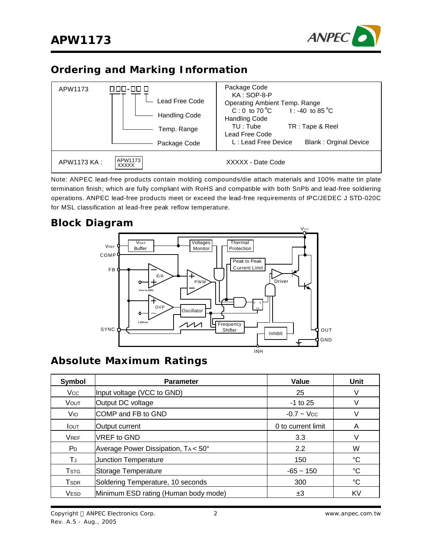

### **Ordering and Marking Information**



Note: ANPEC lead-free products contain molding compounds/die attach materials and 100% matte tin plate termination finish; which are fully compliant with RoHS and compatible with both SnPb and lead-free soldiering operations. ANPEC lead-free products meet or exceed the lead-free requirements of IPC/JEDEC J STD-020C for MSL classification at lead-free peak reflow temperature.

### **Block Diagram**



### **Absolute Maximum Ratings**

| Symbol                  | <b>Parameter</b>                     | Value              | Unit |
|-------------------------|--------------------------------------|--------------------|------|
| <b>Vcc</b>              | Input voltage (VCC to GND)           | 25                 | V    |
| <b>VOUT</b>             | Output DC voltage                    | $-1$ to 25         | V    |
| Vio                     | COMP and FB to GND                   | $-0.7 -$ Vcc       |      |
| <b>I</b> OUT            | Output current                       | 0 to current limit | Α    |
| <b>VREF</b>             | VREF to GND                          | 3.3                |      |
| P <sub>D</sub>          | Average Power Dissipation, TA < 50°  | 2.2                | W    |
| TJ                      | <b>Junction Temperature</b>          | 150                | °C   |
| <b>T</b> stg            | Storage Temperature                  | $-65 - 150$        | °C   |
| <b>T</b> <sub>SDR</sub> | Soldering Temperature, 10 seconds    | 300                | °C   |
| <b>VESD</b>             | Minimum ESD rating (Human body mode) | ±3                 | KV   |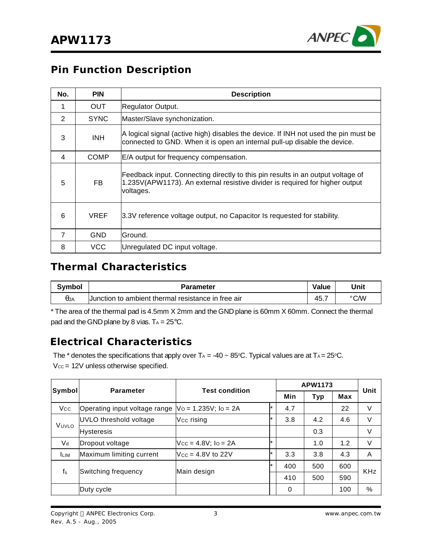

### **Pin Function Description**

| No.            | <b>PIN</b>  | <b>Description</b>                                                                                                                                                           |  |  |  |
|----------------|-------------|------------------------------------------------------------------------------------------------------------------------------------------------------------------------------|--|--|--|
| 1              | <b>OUT</b>  | Regulator Output.                                                                                                                                                            |  |  |  |
| 2              | <b>SYNC</b> | Master/Slave synchonization.                                                                                                                                                 |  |  |  |
| 3              | <b>INH</b>  | A logical signal (active high) disables the device. If INH not used the pin must be<br>connected to GND. When it is open an internal pull-up disable the device.             |  |  |  |
| 4              | <b>COMP</b> | E/A output for frequency compensation.                                                                                                                                       |  |  |  |
| 5              | FB.         | Feedback input. Connecting directly to this pin results in an output voltage of<br>1.235V(APW1173). An external resistive divider is required for higher output<br>voltages. |  |  |  |
| 6              | <b>VREF</b> | 3.3V reference voltage output, no Capacitor Is requested for stability.                                                                                                      |  |  |  |
| $\overline{7}$ | <b>GND</b>  | lGround.                                                                                                                                                                     |  |  |  |
| 8              | VCC         | Unregulated DC input voltage.                                                                                                                                                |  |  |  |

### **Thermal Characteristics**

| <b>Symbol</b> | <b>Parameter</b>                                   | <b>Value</b> | Unit |
|---------------|----------------------------------------------------|--------------|------|
| $\theta$ JA   | Uunction to ambient thermal resistance in free air | 45.,         | °C/W |

\* The area of the thermal pad is 4.5mm X 2mm and the GND plane is 60mm X 60mm. Connect the thermal pad and the GND plane by 8 vias.  $T_A = 25^{\circ}C$ .

### **Electrical Characteristics**

The  $*$  denotes the specifications that apply over TA = -40  $\sim 85^{\circ}$ C. Typical values are at TA = 25°C.  $V_{\text{CC}} = 12V$  unless otherwise specified.

| Symbol         |                               | <b>Test condition</b><br><b>Parameter</b> |         |     | <b>APW1173</b> |     | Unit       |
|----------------|-------------------------------|-------------------------------------------|---------|-----|----------------|-----|------------|
|                |                               |                                           |         | Min | <b>Typ</b>     | Max |            |
| <b>Vcc</b>     | Operating input voltage range | $\sqrt{V}$ o = 1.235V; lo = 2A            |         | 4.7 |                | 22  | V          |
| VUVLO          | UVLO threshold voltage        | Vcc rising                                |         | 3.8 | 4.2            | 4.6 | V          |
|                | <b>Hysteresis</b>             |                                           |         |     | 0.3            |     | V          |
| V <sub>d</sub> | Dropout voltage               | $Vec = 4.8V$ ; $lo = 2A$                  | $\star$ |     | 1.0            | 1.2 | V          |
| <b>ILIM</b>    | Maximum limiting current      | $Ncc = 4.8V$ to 22V                       | $\star$ | 3.3 | 3.8            | 4.3 | A          |
| $f_s$          |                               | $\star$<br>Main design                    |         | 400 | 500            | 600 | <b>KHz</b> |
|                | Switching frequency           |                                           |         | 410 | 500            | 590 |            |
|                | Duty cycle                    |                                           |         | 0   |                | 100 | %          |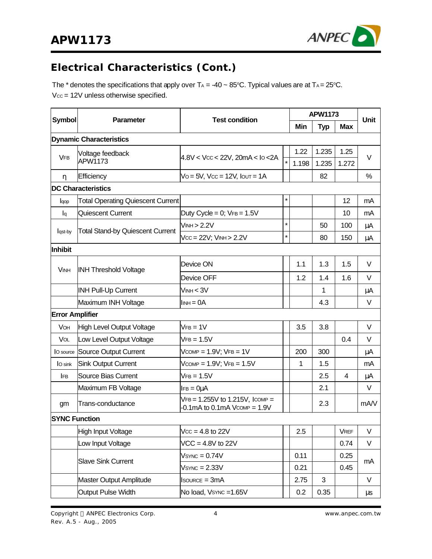

# **Electrical Characteristics (Cont.)**

The  $*$  denotes the specifications that apply over TA = -40  $\sim$  85°C. Typical values are at TA = 25°C.  $V_{CC} = 12V$  unless otherwise specified.

|                        |                                          |                                                                            |         |       | <b>APW1173</b> |             | Unit    |
|------------------------|------------------------------------------|----------------------------------------------------------------------------|---------|-------|----------------|-------------|---------|
| <b>Symbol</b>          | Parameter                                | <b>Test condition</b>                                                      |         | Min   | <b>Typ</b>     | <b>Max</b>  |         |
|                        | <b>Dynamic Characteristics</b>           |                                                                            |         |       |                |             |         |
|                        | Voltage feedback                         |                                                                            |         | 1.22  | 1.235          | 1.25        |         |
| <b>VFB</b>             | APW1173                                  | $4.8V < Vcc < 22V$ , 20mA < $I_0 < 2A$                                     | $\star$ | 1.198 | 1.235          | 1.272       | $\vee$  |
| η                      | Efficiency                               | $Vo = 5V$ , $Vcc = 12V$ , $IOUT = 1A$                                      |         |       | 82             |             | %       |
|                        | <b>DC Characteristics</b>                |                                                                            |         |       |                |             |         |
| lqop                   | <b>Total Operating Quiescent Current</b> |                                                                            | $\star$ |       |                | 12          | mA      |
| $I_{q}$                | Quiescent Current                        | Duty Cycle = $0$ ; $VFB = 1.5V$                                            |         |       |                | 10          | mA      |
|                        |                                          | VINH > 2.2V                                                                | $\star$ |       | 50             | 100         | μA      |
| lqst-by                | <b>Total Stand-by Quiescent Current</b>  | $Vcc = 22V$ ; $VINH > 2.2V$                                                | $\star$ |       | 80             | 150         | μA      |
| Inhibit                |                                          |                                                                            |         |       |                |             |         |
| <b>VINH</b>            | <b>INH Threshold Voltage</b>             | Device ON                                                                  |         | 1.1   | 1.3            | 1.5         | V       |
|                        |                                          | Device OFF                                                                 |         | 1.2   | 1.4            | 1.6         | V       |
|                        | <b>INH Pull-Up Current</b>               | $V_{INH} < 3V$                                                             |         |       | 1              |             | μA      |
|                        | Maximum INH Voltage                      | $I_{INH} = 0A$                                                             |         |       | 4.3            |             | V       |
| <b>Error Amplifier</b> |                                          |                                                                            |         |       |                |             |         |
| VOH                    | <b>High Level Output Voltage</b>         | $VFB = 1V$                                                                 |         | 3.5   | 3.8            |             | V       |
| VOL                    | Low Level Output Voltage                 | $VFB = 1.5V$                                                               |         |       |                | 0.4         | V       |
| O source               | Source Output Current                    | $V_{COMP} = 1.9V$ ; $V_{FB} = 1V$                                          |         | 200   | 300            |             | μA      |
| O sink                 | <b>Sink Output Current</b>               | $V_{COMP} = 1.9V$ ; $V_{FB} = 1.5V$                                        |         | 1     | 1.5            |             | mA      |
| <b>IFB</b>             | <b>Source Bias Current</b>               | $VFB = 1.5V$                                                               |         |       | 2.5            | 4           | μA      |
|                        | Maximum FB Voltage                       | $IFB = Q\mu A$                                                             |         |       | 2.1            |             | V       |
| gm                     | Trans-conductance                        | $VFB = 1.255V$ to 1.215V, Icomp =<br>$-0.1$ mA to $0.1$ mA V $comP = 1.9V$ |         |       | 2.3            |             | mA/V    |
| <b>SYNC Function</b>   |                                          |                                                                            |         |       |                |             |         |
|                        | <b>High Input Voltage</b>                | $Vcc = 4.8$ to 22V                                                         |         | 2.5   |                | <b>VREF</b> | V       |
|                        | Low Input Voltage                        | $VCC = 4.8V$ to 22V                                                        |         |       |                | 0.74        | V       |
|                        |                                          | $Vs$ YNC = $0.74V$                                                         |         | 0.11  |                | 0.25        |         |
|                        | <b>Slave Sink Current</b>                | $Vs$ <sub>YNC</sub> = $2.33V$                                              |         | 0.21  |                | 0.45        | mA      |
|                        | <b>Master Output Amplitude</b>           | $Isource = 3mA$                                                            |         | 2.75  | 3              |             | V       |
|                        | <b>Output Pulse Width</b>                | No load, Vsync = 1.65V                                                     |         | 0.2   | 0.35           |             | $\mu s$ |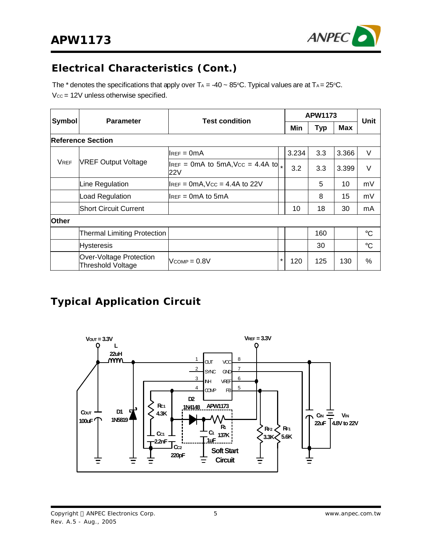

## **Electrical Characteristics (Cont.)**

The  $^*$  denotes the specifications that apply over T $_{\rm A}$  = -40  $\sim 85^{\circ}$ C. Typical values are at T $_{\rm A}$ = 25 $^{\circ}$ C.  $V_{\text{CC}} = 12V$  unless otherwise specified.

| Symbol       | <b>Parameter</b>                                    | <b>Test condition</b>                                                       |         | <b>APW1173</b> |            |       | Unit            |
|--------------|-----------------------------------------------------|-----------------------------------------------------------------------------|---------|----------------|------------|-------|-----------------|
|              |                                                     |                                                                             |         | Min            | <b>Typ</b> | Max   |                 |
|              | <b>Reference Section</b>                            |                                                                             |         |                |            |       |                 |
|              |                                                     | $l$ lref = 0m $A$                                                           |         | 3.234          | 3.3        | 3.366 | $\vee$          |
| <b>VREF</b>  | <b>VREF Output Voltage</b>                          | $\mu_{\text{REF}} = 0 \text{mA}$ to 5mA, Vcc = 4.4A to $\mu_{\star}$<br>22V |         | 3.2            | 3.3        | 3.399 | V               |
|              | Line Regulation                                     | $I_{REF} = 0mA$ , $V_{CC} = 4.4A$ to 22V                                    |         |                | 5          | 10    | mV              |
|              | Load Regulation                                     | ${\sf II}$ REF = 0m ${\sf A}$ to 5m ${\sf A}$                               |         |                | 8          | 15    | mV              |
|              | <b>Short Circuit Current</b>                        |                                                                             |         | 10             | 18         | 30    | mA              |
| <b>Other</b> |                                                     |                                                                             |         |                |            |       |                 |
|              | <b>Thermal Limiting Protection</b>                  |                                                                             |         |                | 160        |       | $\rm ^{\circ}C$ |
|              | <b>Hysteresis</b>                                   |                                                                             |         |                | 30         |       | $^{\circ}C$     |
|              | Over-Voltage Protection<br><b>Threshold Voltage</b> | $V_{COMP} = 0.8V$                                                           | $\star$ | 120            | 125        | 130   | %               |

## **Typical Application Circuit**



Copyright © ANPEC Electronics Corp. Rev. A.5 - Aug., 2005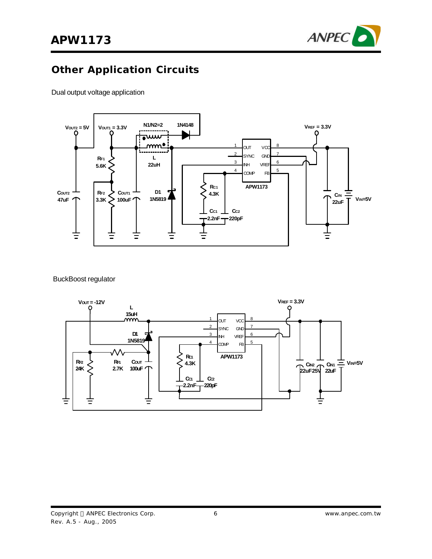

# **Other Application Circuits**

Dual output voltage application



#### BuckBoost regulator

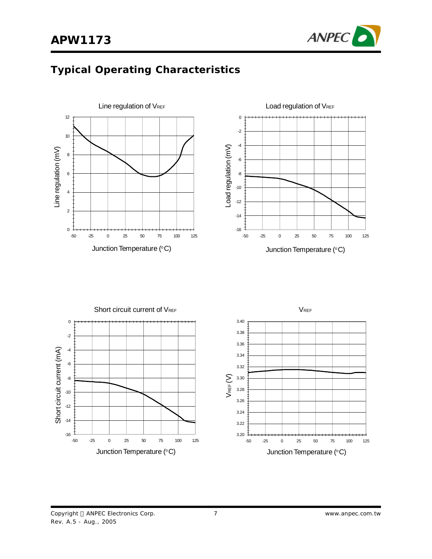

# **Typical Operating Characteristics**





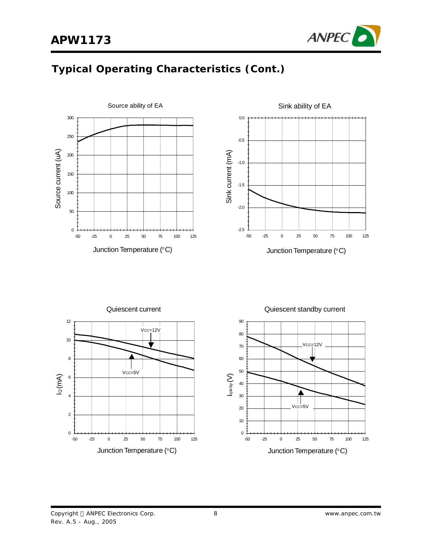

# **Typical Operating Characteristics (Cont.)**



Copyright © ANPEC Electronics Corp. Rev. A.5 - Aug., 2005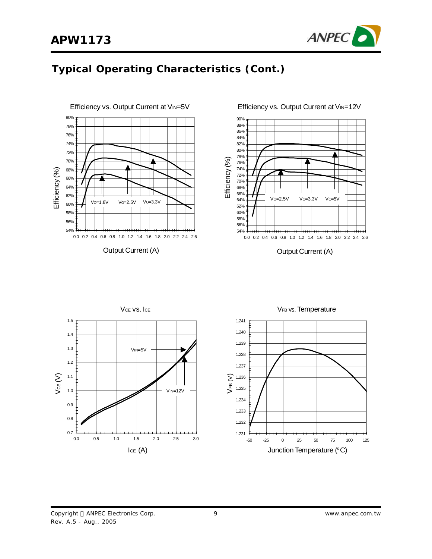

# **Typical Operating Characteristics (Cont.)**

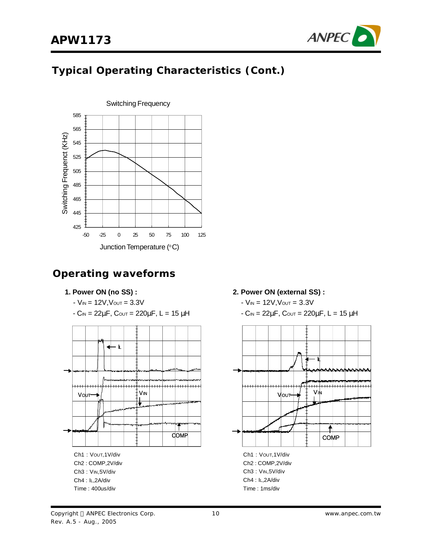

## **Typical Operating Characteristics (Cont.)**



### **Operating waveforms**

#### **1. Power ON (no SS) :**

- $-V_{IN} = 12V, V_{OUT} = 3.3V$
- $-C<sub>IN</sub> = 22μF, C<sub>OUT</sub> = 220μF, L = 15 μH$



#### **2. Power ON (external SS) :**

- $-V_{IN} = 12V$ ,  $V_{OUT} = 3.3V$
- $-C_{IN} = 22\mu$ F, Cout = 220μF, L = 15 μH



Ch2 : COMP,2V/div Ch3 : VIN,5V/div Ch4 : IL,2A/div Time : 1ms/div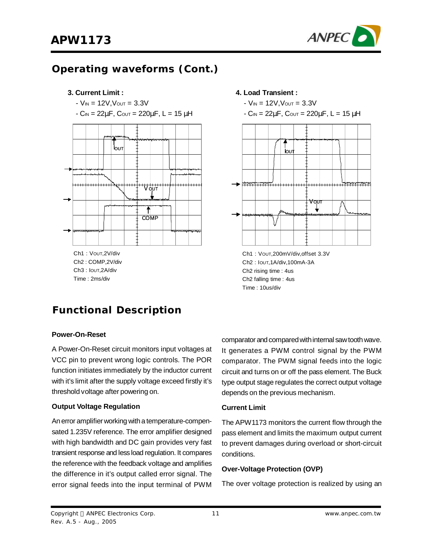

### **Operating waveforms (Cont.)**



# **Functional Description**

#### **Power-On-Reset**

A Power-On-Reset circuit monitors input voltages at VCC pin to prevent wrong logic controls. The POR function initiates immediately by the inductor current with it's limit after the supply voltage exceed firstly it's threshold voltage after powering on.

#### **Output Voltage Regulation**

An error amplifier working with a temperature-compensated 1.235V reference. The error amplifier designed with high bandwidth and DC gain provides very fast transient response and less load regulation. It compares the reference with the feedback voltage and amplifies the difference in it's output called error signal. The error signal feeds into the input terminal of PWM



Ch2 : IOUT,1A/div,100mA-3A Ch2 rising time : 4us Ch2 falling time : 4us Time : 10us/div

comparator and compared with internal saw tooth wave. It generates a PWM control signal by the PWM comparator. The PWM signal feeds into the logic circuit and turns on or off the pass element. The Buck type output stage regulates the correct output voltage depends on the previous mechanism.

#### **Current Limit**

The APW1173 monitors the current flow through the pass element and limits the maximum output current to prevent damages during overload or short-circuit conditions.

#### **Over-Voltage Protection (OVP)**

The over voltage protection is realized by using an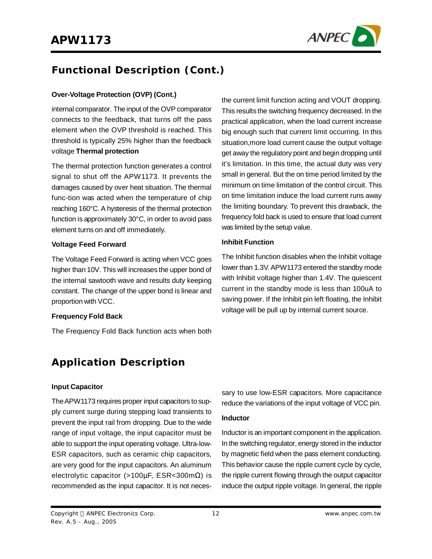

the current limit function acting and VOUT dropping. This results the switching frequency decreased. In the practical application, when the load current increase big enough such that current limit occurring. In this situation,more load current cause the output voltage get away the regulatory point and begin dropping until it's limitation. In this time, the actual duty was very small in general. But the on time period limited by the minimum on time limitation of the control circuit. This on time limitation induce the load current runs away the limiting boundary. To prevent this drawback, the frequency fold back is used to ensure that load current

was limited by the setup value.

**Inhibit Function**

# **Functional Description (Cont.)**

#### **Over-Voltage Protection (OVP) (Cont.)**

internal comparator. The input of the OVP comparator connects to the feedback, that turns off the pass element when the OVP threshold is reached. This threshold is typically 25% higher than the feedback voltage **Thermal protection**

The thermal protection function generates a control signal to shut off the APW1173. It prevents the damages caused by over heat situation. The thermal func-tion was acted when the temperature of chip reaching 160°C. A hysteresis of the thermal protection function is approximately 30°C, in order to avoid pass element turns on and off immediately.

#### **Voltage Feed Forward**

The Voltage Feed Forward is acting when VCC goes higher than 10V. This will increases the upper bond of the internal sawtooth wave and results duty keeping constant. The change of the upper bond is linear and proportion with VCC.

#### **Frequency Fold Back**

The Frequency Fold Back function acts when both

### **Application Description**

#### **Input Capacitor**

TheAPW1173 requires proper input capacitors to supply current surge during stepping load transients to prevent the input rail from dropping. Due to the wide range of input voltage, the input capacitor must be able to support the input operating voltage. Ultra-low-ESR capacitors, such as ceramic chip capacitors, are very good for the input capacitors. An aluminum electrolytic capacitor (>100µF, ESR<300m $\Omega$ ) is recommended as the input capacitor. It is not necessary to use low-ESR capacitors. More capacitance reduce the variations of the input voltage of VCC pin.

The Inhibit function disables when the Inhibit voltage lower than 1.3V. APW1173 entered the standby mode with Inhibit voltage higher than 1.4V. The quiescent current in the standby mode is less than 100uA to saving power. If the Inhibit pin left floating, the Inhibit voltage will be pull up by internal current source.

#### **Inductor**

Inductor is an important component in the application. In the switching regulator, energy stored in the inductor by magnetic field when the pass element conducting. This behavior cause the ripple current cycle by cycle, the ripple current flowing through the output capacitor induce the output ripple voltage. In general, the ripple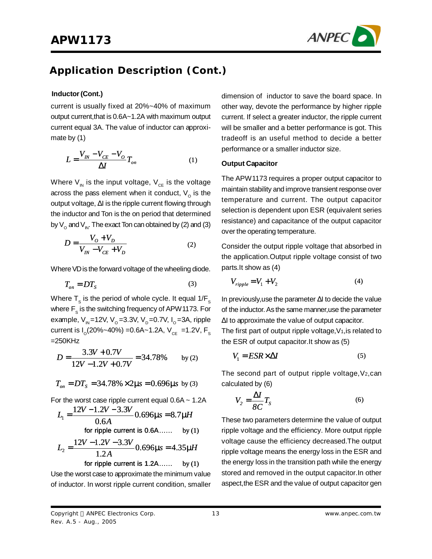

### **Application Description (Cont.)**

#### **Inductor(Cont.)**

current is usually fixed at 20%~40% of maximum output current,that is 0.6A~1.2A with maximum output current equal 3A. The value of inductor can approximate by (1)

$$
L = \frac{V_{IN} - V_{CE} - V_O}{\Delta I} T_{on}
$$
 (1)

Where  $\mathsf{V}_{_\mathsf{N}}$  is the input voltage,  $\mathsf{V}_{_\mathsf{CE}}$  is the voltage across the pass element when it conduct,  $\mathsf{V}_{_{\mathrm{O}}}$  is the output voltage, ΔI is the ripple current flowing through the inductor and Ton is the on period that determined by  $\mathsf{V}_{_{\mathsf{O}}}$  and  $\mathsf{V}_{_{\mathsf{IN}}}$ . The exact Ton can obtained by (2) and (3)

$$
D = \frac{V_0 + V_D}{V_{IN} - V_{CE} + V_D}
$$
 (2)

Where VD is the forward voltage of the wheeling diode.

$$
T_{on} = DT_S \tag{3}
$$

Where  ${\sf T}_{_{\rm S}}$  is the period of whole cycle. It equal 1/F $_{_{\rm S}}$ where  $\mathsf{F}_\mathrm{s}$  is the switching frequency of APW1173. For example, V<sub>IN</sub>=12V, V<sub>o</sub>=3.3V, V<sub>D</sub>=0.7V, I<sub>o</sub>=3A, ripple current is I<sub>o</sub>(20%~40%) =0.6A~1.2A, V<sub>cE</sub> =1.2V, F<sub>s</sub>  $=250KHz$ 

$$
D = \frac{3.3V + 0.7V}{12V - 1.2V + 0.7V} = 34.78\% \text{ by (2)}
$$

$$
T_{on} = DT_s = 34.78\% \times 2 \text{ m/s} = 0.696 \text{ m/s}
$$
 by (3)

For the worst case ripple current equal  $0.6A \sim 1.2A$ 

$$
L_1 = \frac{12V - 1.2V - 3.3V}{0.6A} 0.696 \text{ m/s} = 8.7 \text{ mH}
$$
  
for ripple current is 0.6A...... by (1)  

$$
12V - 1.2V - 3.3V = 6.66 \text{ m} = 4.35 \text{ mH}
$$

$$
L_2 = \frac{12V - 1.2V - 3.3V}{1.2A} = 0.696 \text{ m/s} = 4.35 \text{ mH}
$$
  
for ripple current is 1.2A...... by (1)

Use the worst case to approximate the minimum value of inductor. In worst ripple current condition, smaller

dimension of inductor to save the board space. In other way, devote the performance by higher ripple current. If select a greater inductor, the ripple current will be smaller and a better performance is got. This tradeoff is an useful method to decide a better performance or a smaller inductor size.

#### **Output Capacitor**

The APW1173 requires a proper output capacitor to maintain stability and improve transient response over temperature and current. The output capacitor selection is dependent upon ESR (equivalent series resistance) and capacitance of the output capacitor over the operating temperature.

Consider the output ripple voltage that absorbed in the application.Output ripple voltage consist of two parts.It show as (4)

$$
V_{ripple} = V_1 + V_2 \tag{4}
$$

In previously,use the parameter ΔI to decide the value of the inductor. As the same manner, use the parameter ΔI to approximate the value of output capacitor.

The first part of output ripple voltage,  $V_1$ , is related to the ESR of output capacitor.It show as (5)

$$
V_1 = ESR \times \Delta I \tag{5}
$$

The second part of output ripple voltage,  $V_2$ , can calculated by (6)

$$
V_2 = \frac{\Delta I}{8C} T_s \tag{6}
$$

These two parameters determine the value of output ripple voltage and the efficiency. More output ripple voltage cause the efficiency decreased.The output ripple voltage means the energy loss in the ESR and the energy loss in the transition path while the energy stored and removed in the output capacitor.In other aspect,the ESR and the value of output capacitor gen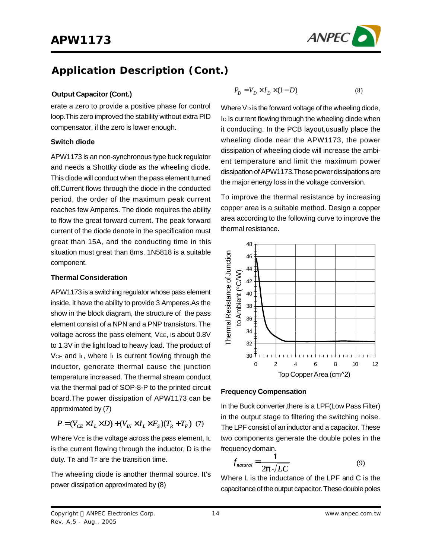

## **Application Description (Cont.)**

#### **Output Capacitor (Cont.)**

erate a zero to provide a positive phase for control loop.This zero improved the stability without extra PID compensator, if the zero is lower enough.

#### **Switch diode**

APW1173 is an non-synchronous type buck regulator and needs a Shottky diode as the wheeling diode. This diode will conduct when the pass element turned off.Current flows through the diode in the conducted period, the order of the maximum peak current reaches few Amperes. The diode requires the ability to flow the great forward current. The peak forward current of the diode denote in the specification must great than 15A, and the conducting time in this situation must great than 8ms. 1N5818 is a suitable component.

#### **Thermal Consideration**

APW1173 is a switching regulator whose pass element inside, it have the ability to provide 3 Amperes.As the show in the block diagram, the structure of the pass element consist of a NPN and a PNP transistors. The voltage across the pass element, VcE, is about 0.8V to 1.3V in the light load to heavy load. The product of Vce and  $\mathsf{L}$ , where  $\mathsf{L}$  is current flowing through the inductor, generate thermal cause the junction temperature increased. The thermal stream conduct via the thermal pad of SOP-8-P to the printed circuit board.The power dissipation of APW1173 can be approximated by (7)

$$
P = (V_{CE} \times I_L \times D) + (V_M \times I_L \times F_s)(T_R + T_F) \tag{7}
$$

Where Vce is the voltage across the pass element, IL is the current flowing through the inductor, D is the duty. T<sup>R</sup> and T<sup>F</sup> are the transition time.

The wheeling diode is another thermal source. It's power dissipation approximated by (8)

$$
P_D = V_D \times I_D \times (1 - D) \tag{8}
$$

Where  $V_D$  is the forward voltage of the wheeling diode, I<sub>D</sub> is current flowing through the wheeling diode when it conducting. In the PCB layout,usually place the wheeling diode near the APW1173, the power dissipation of wheeling diode will increase the ambient temperature and limit the maximum power dissipation of APW1173.These power dissipations are the major energy loss in the voltage conversion.

To improve the thermal resistance by increasing copper area is a suitable method. Design a copper area according to the following curve to improve the thermal resistance.



#### **Frequency Compensation**

In the Buck converter,there is a LPF(Low Pass Filter) in the output stage to filtering the switching noise. The LPF consist of an inductor and a capacitor. These two components generate the double poles in the frequency domain.

$$
f_{natural} = \frac{1}{2\mathbf{p}\sqrt{LC}}\tag{9}
$$

Where L is the inductance of the LPF and C is the capacitance of the output capacitor. These double poles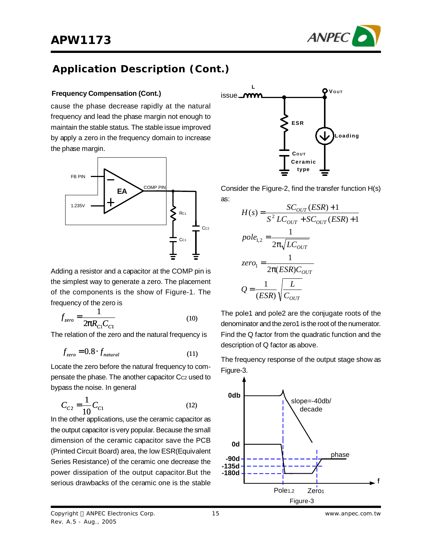



## **Application Description (Cont.)**

#### **Frequency Compensation (Cont.)**

cause the phase decrease rapidly at the natural frequency and lead the phase margin not enough to maintain the stable status. The stable issue improved by apply a zero in the frequency domain to increase the phase margin.



Adding a resistor and a capacitor at the COMP pin is the simplest way to generate a zero. The placement of the components is the show of Figure-1. The frequency of the zero is

$$
f_{zero} = \frac{1}{2pR_{C1}C_{C1}}\tag{10}
$$

The relation of the zero and the natural frequency is

$$
f_{zero} = 0.8 \cdot f_{natural} \tag{11}
$$

Locate the zero before the natural frequency to compensate the phase. The another capacitor Cc2 used to bypass the noise. In general

$$
C_{C2} = \frac{1}{10} C_{C1}
$$
 (12)

In the other applications, use the ceramic capacitor as the output capacitor is very popular. Because the small dimension of the ceramic capacitor save the PCB (Printed Circuit Board) area, the low ESR(Equivalent Series Resistance) of the ceramic one decrease the power dissipation of the output capacitor.But the serious drawbacks of the ceramic one is the stable



Consider the Figure-2, find the transfer function H(s) as:

$$
H(s) = \frac{SC_{OUT}(ESR) + 1}{S^2 LC_{OUT} + SC_{OUT}(ESR) + 1}
$$
  
\n
$$
pole_{1,2} = \frac{1}{2\pi\sqrt{LC_{OUT}}}
$$
  
\n
$$
zero_1 = \frac{1}{2\pi(ESR)C_{OUT}}
$$
  
\n
$$
Q = \frac{1}{(ESR)} \sqrt{\frac{L}{C_{OUT}}}
$$

The pole1 and pole2 are the conjugate roots of the denominator and the zero1 is the root of the numerator. Find the Q factor from the quadratic function and the description of Q factor as above.

The frequency response of the output stage show as Figure-3.

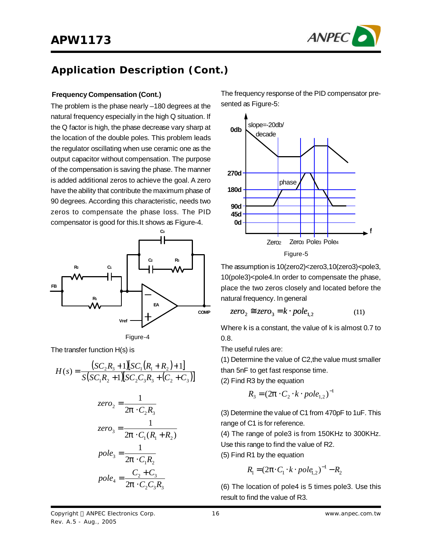

### **APW1173**

## **Application Description (Cont.)**

#### **Frequency Compensation (Cont.)**

The problem is the phase nearly –180 degrees at the natural frequency especially in the high Q situation. If the Q factor is high, the phase decrease vary sharp at the location of the double poles. This problem leads the regulator oscillating when use ceramic one as the output capacitor without compensation. The purpose of the compensation is saving the phase. The manner is added additional zeros to achieve the goal. A zero have the ability that contribute the maximum phase of 90 degrees. According this characteristic, needs two zeros to compensate the phase loss. The PID compensator is good for this.It shows as Figure-4.





The transfer function H(s) is

$$
H(s) = \frac{(SC_2R_3 + 1)[SC_1(R_1 + R_2) + 1]}{S(SC_1R_2 + 1)[SC_2C_3R_3 + (C_2 + C_3)]}
$$

$$
zero_2 = \frac{1}{2\mathbf{p} \cdot C_2 R_3}
$$
  
\n
$$
zero_3 = \frac{1}{2\mathbf{p} \cdot C_1 (R_1 + R_2)}
$$
  
\n
$$
pole_3 = \frac{1}{2\mathbf{p} \cdot C_1 R_2}
$$
  
\n
$$
pole_4 = \frac{C_2 + C_3}{2\mathbf{p} \cdot C_2 C_3 R_3}
$$

The frequency response of the PID compensator presented as Figure-5:



The assumption is 10(zero2)<zero3,10(zero3)<pole3, 10(pole3)<pole4.In order to compensate the phase, place the two zeros closely and located before the natural frequency. In general

$$
zero_2 \cong zero_3 = k \cdot pole_{1,2} \tag{11}
$$

Where k is a constant, the value of k is almost 0.7 to 0.8.

The useful rules are:

(1) Determine the value of C2,the value must smaller than 5nF to get fast response time.

(2) Find R3 by the equation

$$
R_3 = (2\mathbf{p} \cdot C_2 \cdot k \cdot pole_{1,2})^{-1}
$$

(3) Determine the value of C1 from 470pF to 1uF. This range of C1 is for reference.

(4) The range of pole3 is from 150KHz to 300KHz. Use this range to find the value of R2.

(5) Find R1 by the equation

$$
R_1 = (2\pi \cdot C_1 \cdot k \cdot pole_{1,2})^{-1} - R_2
$$

(6) The location of pole4 is 5 times pole3. Use this result to find the value of R3.

Copyright © ANPEC Electronics Corp. Rev. A.5 - Aug., 2005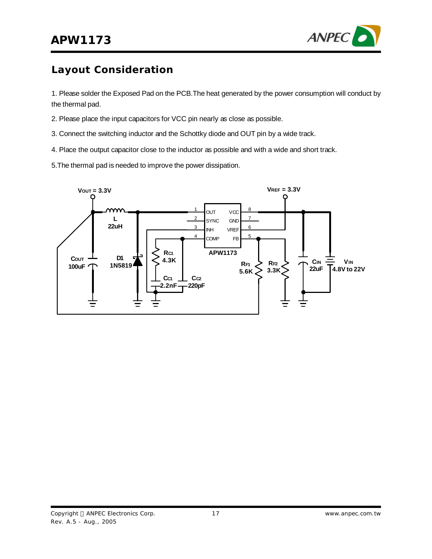

## **Layout Consideration**

1. Please solder the Exposed Pad on the PCB.The heat generated by the power consumption will conduct by the thermal pad.

- 2. Please place the input capacitors for VCC pin nearly as close as possible.
- 3. Connect the switching inductor and the Schottky diode and OUT pin by a wide track.
- 4. Place the output capacitor close to the inductor as possible and with a wide and short track.
- 5.The thermal pad is needed to improve the power dissipation.

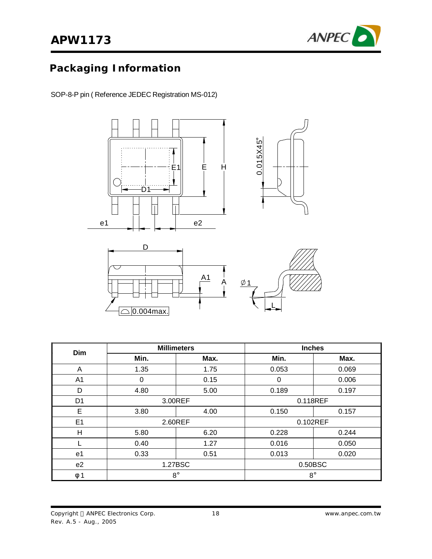

# **Packaging Information**

SOP-8-P pin ( Reference JEDEC Registration MS-012)





| Dim            |              | <b>Millimeters</b> | <b>Inches</b> |          |
|----------------|--------------|--------------------|---------------|----------|
|                | Min.<br>Max. |                    | Min.          | Max.     |
| A              | 1.35         | 1.75               | 0.053         | 0.069    |
| A <sub>1</sub> | 0            | 0.15               | 0             | 0.006    |
| D              | 4.80         | 5.00               | 0.189         | 0.197    |
| D <sub>1</sub> | 3.00REF      |                    | 0.118REF      |          |
| E              | 3.80         | 4.00               | 0.150         | 0.157    |
| E <sub>1</sub> |              | 2.60REF            |               | 0.102REF |
| $\mathsf{H}$   | 5.80         | 6.20               | 0.228         | 0.244    |
|                | 0.40         | 1.27               | 0.016         | 0.050    |
| e <sub>1</sub> | 0.33         | 0.51               | 0.013         | 0.020    |
| e <sub>2</sub> | 1.27BSC      |                    | 0.50BSC       |          |
| $\phi$ 1       | $8^{\circ}$  |                    | $8^{\circ}$   |          |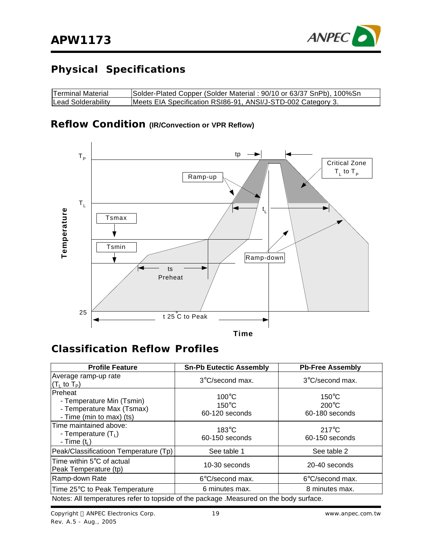

# **Physical Specifications**

| <b>Terminal Material</b> | Solder-Plated Copper (Solder Material: 90/10 or 63/37 SnPb), 100%Sn |
|--------------------------|---------------------------------------------------------------------|
| Lead Solderability       | Meets EIA Specification RSI86-91, ANSI/J-STD-002 Category 3.        |

### **Reflow Condition (IR/Convection or VPR Reflow)**



### **Classification Reflow Profiles**

| <b>Profile Feature</b>                                                                                | <b>Sn-Pb Eutectic Assembly</b>                       | <b>Pb-Free Assembly</b>                              |  |
|-------------------------------------------------------------------------------------------------------|------------------------------------------------------|------------------------------------------------------|--|
| Average ramp-up rate<br>$(T_1$ to $T_P$ )                                                             | 3°C/second max.                                      | $3^{\circ}$ C/second max.                            |  |
| <b>IPreheat</b><br>- Temperature Min (Tsmin)<br>- Temperature Max (Tsmax)<br>- Time (min to max) (ts) | $100^{\circ}$ C<br>$150^{\circ}$ C<br>60-120 seconds | $150^{\circ}$ C<br>$200^{\circ}$ C<br>60-180 seconds |  |
| Time maintained above:<br>- Temperature $(T_1)$<br>- Time $(ti)$                                      | $183^\circ C$<br>60-150 seconds                      | $217^{\circ}$ C<br>60-150 seconds                    |  |
| Peak/Classificatioon Temperature (Tp)                                                                 | See table 1                                          | See table 2                                          |  |
| Time within 5°C of actual<br>Peak Temperature (tp)                                                    | 10-30 seconds                                        | 20-40 seconds                                        |  |
| Ramp-down Rate                                                                                        | $6^{\circ}$ C/second max.                            | $6^{\circ}$ C/second max.                            |  |
| Time 25°C to Peak Temperature                                                                         | 6 minutes max.                                       | 8 minutes max.                                       |  |
| Notes: All temperatures refer to topside of the package . Measured on the body surface.               |                                                      |                                                      |  |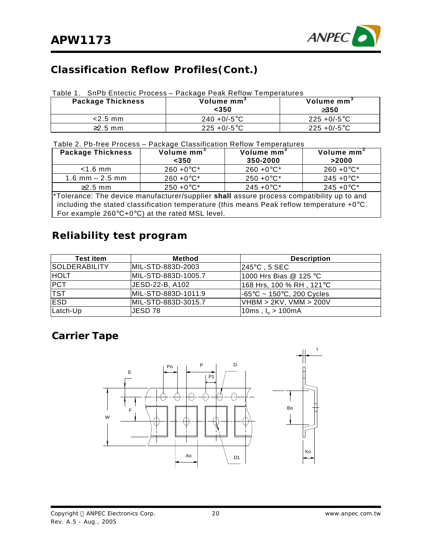

## **Classification Reflow Profiles(Cont.)**

#### Table 1. SnPb Entectic Process – Package Peak Reflow Temperatures

| Package Thickness | Volume mm <sup>3</sup><br><350 | Volume mm <sup>3</sup><br>3350 |
|-------------------|--------------------------------|--------------------------------|
| $<$ 2.5 mm        | $240 + 0/-5$ °C                | $225 + 0/-5$ °C                |
| $\geq$ 2.5 mm     | $225 + 0/-5$ °C                | $225 + 0/-5$ °C                |

Table 2. Pb-free Process – Package Classification Reflow Temperatures

| <b>Package Thickness</b>                                                                              | Volume mm <sup>3</sup>                                        | Volume mm <sup>3</sup> | Volume mm <sup>3</sup> |  |  |
|-------------------------------------------------------------------------------------------------------|---------------------------------------------------------------|------------------------|------------------------|--|--|
|                                                                                                       | $350$                                                         | 350-2000               | >2000                  |  |  |
| $<$ 1.6 mm                                                                                            | $260 + 0^{\circ}C^{*}$                                        | $260 + 0^{\circ}C^*$   | $260 + 0^{\circ}C^*$   |  |  |
| $1.6$ mm $- 2.5$ mm                                                                                   | $260 + 0^{\circ}C^{*}$                                        | $250 + 0^{\circ}C^*$   | $245 + 0$ °C*          |  |  |
| $\geq$ 2.5 mm                                                                                         | $250 + 0^{\circ}C^*$                                          | $245 + 0$ °C*          | $245 + 0$ °C*          |  |  |
| <sup>*</sup> Tolerance: The device manufacturer/supplier shall assure process compatibility up to and |                                                               |                        |                        |  |  |
| including the stated classification temperature (this means Peak reflow temperature $+0^{\circ}$ C.   |                                                               |                        |                        |  |  |
|                                                                                                       | For example $260^{\circ}C+0^{\circ}C$ at the rated MSL level. |                        |                        |  |  |

### **Reliability test program**

| <b>Test item</b>      | <b>Method</b>       | <b>Description</b>                             |
|-----------------------|---------------------|------------------------------------------------|
| <b>ISOLDERABILITY</b> | IMIL-STD-883D-2003  | $245^{\circ}$ C , 5 SEC                        |
| <b>HOLT</b>           | MIL-STD-883D-1005.7 | 1000 Hrs Bias @ 125 °C                         |
| <b>PCT</b>            | JESD-22-B, A102     | 168 Hrs, 100 % RH , 121°C                      |
| <b>TST</b>            | MIL-STD-883D-1011.9 | $-65^{\circ}$ C ~ 150 $^{\circ}$ C, 200 Cycles |
| <b>ESD</b>            | MIL-STD-883D-3015.7 | VHBM > 2KV, VMM > 200V                         |
| Latch-Up              | IJESD 78            | 10ms, $I_{tr} > 100$ mA                        |

### **Carrier Tape**